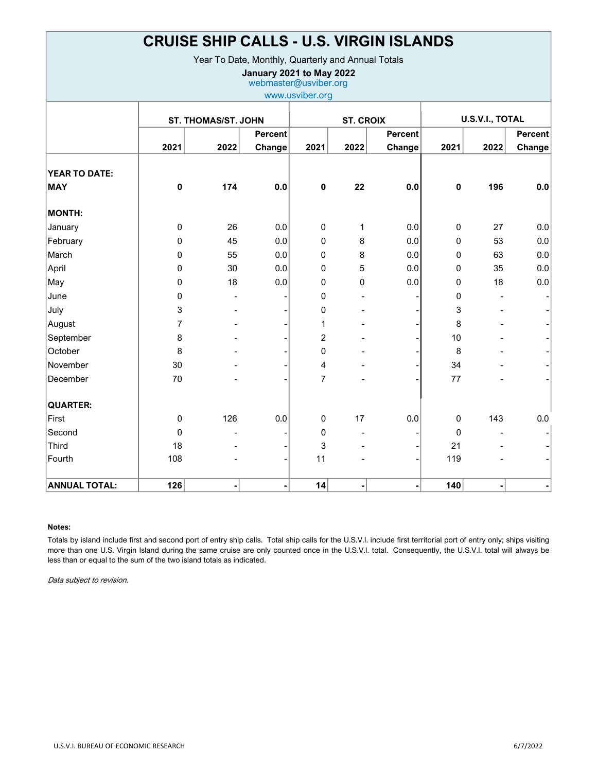| <b>CRUISE SHIP CALLS - U.S. VIRGIN ISLANDS</b><br>Year To Date, Monthly, Quarterly and Annual Totals<br>January 2021 to May 2022<br>webmaster@usviber.org<br>www.usviber.org |              |      |                          |                |                |                          |             |      |                          |
|------------------------------------------------------------------------------------------------------------------------------------------------------------------------------|--------------|------|--------------------------|----------------|----------------|--------------------------|-------------|------|--------------------------|
|                                                                                                                                                                              |              |      |                          |                |                |                          |             |      |                          |
|                                                                                                                                                                              | 2021         | 2022 | <b>Percent</b><br>Change | 2021           | 2022           | <b>Percent</b><br>Change | 2021        | 2022 | <b>Percent</b><br>Change |
| <b>YEAR TO DATE:</b><br><b>MAY</b>                                                                                                                                           | 0            | 174  | 0.0                      | $\mathbf 0$    | 22             | 0.0                      | $\mathbf 0$ | 196  | 0.0                      |
| <b>MONTH:</b>                                                                                                                                                                |              |      |                          |                |                |                          |             |      |                          |
| January                                                                                                                                                                      | 0            | 26   | 0.0                      | 0              | 1              | 0.0                      | 0           | 27   | 0.0                      |
| February                                                                                                                                                                     | 0            | 45   | 0.0                      | 0              | 8              | 0.0                      | 0           | 53   | 0.0                      |
| March                                                                                                                                                                        | 0            | 55   | 0.0                      | 0              | 8              | 0.0                      | 0           | 63   | 0.0                      |
| April                                                                                                                                                                        | 0            | 30   | 0.0                      | 0              | 5              | 0.0                      | $\mathbf 0$ | 35   | 0.0                      |
| May                                                                                                                                                                          | 0            | 18   | 0.0                      | 0              | 0              | 0.0                      | $\mathbf 0$ | 18   | 0.0                      |
| June                                                                                                                                                                         | 0            |      |                          | 0              |                |                          | 0           |      |                          |
| July                                                                                                                                                                         | 3            |      |                          | 0              |                |                          | 3           |      |                          |
| August                                                                                                                                                                       | 7            |      |                          | 1              |                |                          | 8           |      |                          |
| September                                                                                                                                                                    | 8            |      |                          | 2              |                |                          | 10          |      |                          |
| October                                                                                                                                                                      | 8            |      |                          | 0              |                |                          | 8           |      |                          |
| November                                                                                                                                                                     | 30           |      |                          | 4              |                |                          | 34          |      |                          |
| December                                                                                                                                                                     | 70           |      |                          | $\overline{7}$ |                |                          | 77          |      |                          |
| <b>QUARTER:</b>                                                                                                                                                              |              |      |                          |                |                |                          |             |      |                          |
| First                                                                                                                                                                        | 0            | 126  | 0.0                      | 0              | 17             | 0.0                      | $\mathbf 0$ | 143  | 0.0                      |
| Second                                                                                                                                                                       | $\mathbf{0}$ |      |                          | 0              |                |                          | $\mathbf 0$ |      |                          |
| <b>Third</b>                                                                                                                                                                 | 18           |      |                          | 3              |                |                          | 21          |      |                          |
| Fourth                                                                                                                                                                       | 108          |      |                          | 11             |                |                          | 119         |      |                          |
| <b>ANNUAL TOTAL:</b>                                                                                                                                                         | 126          |      |                          | 14             | $\blacksquare$ |                          | 140         |      |                          |

## Notes:

Totals by island include first and second port of entry ship calls. Total ship calls for the U.S.V.I. include first territorial port of entry only; ships visiting more than one U.S. Virgin Island during the same cruise are only counted once in the U.S.V.I. total. Consequently, the U.S.V.I. total will always be less than or equal to the sum of the two island totals as indicated.

Data subject to revision.